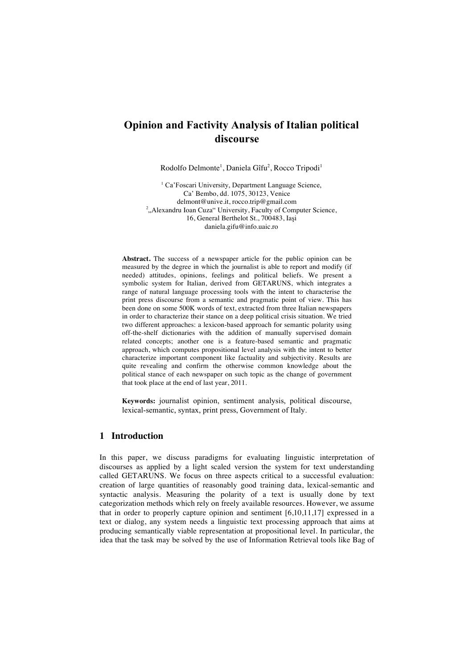# **Opinion and Factivity Analysis of Italian political discourse**

Rodolfo Delmonte<sup>1</sup>, Daniela Gîfu<sup>2</sup>, Rocco Tripodi<sup>1</sup>

<sup>1</sup> Ca'Foscari University, Department Language Science, Ca' Bembo, dd. 1075, 30123, Venice delmont@unive.it, rocco.trip@gmail.com <sup>2</sup>, Alexandru Ioan Cuza" University, Faculty of Computer Science, 16, General Berthelot St., 700483, Iaşi daniela.gifu@info.uaic.ro

**Abstract.** The success of a newspaper article for the public opinion can be measured by the degree in which the journalist is able to report and modify (if needed) attitudes, opinions, feelings and political beliefs. We present a symbolic system for Italian, derived from GETARUNS, which integrates a range of natural language processing tools with the intent to characterise the print press discourse from a semantic and pragmatic point of view. This has been done on some 500K words of text, extracted from three Italian newspapers in order to characterize their stance on a deep political crisis situation. We tried two different approaches: a lexicon-based approach for semantic polarity using off-the-shelf dictionaries with the addition of manually supervised domain related concepts; another one is a feature-based semantic and pragmatic approach, which computes propositional level analysis with the intent to better characterize important component like factuality and subjectivity. Results are quite revealing and confirm the otherwise common knowledge about the political stance of each newspaper on such topic as the change of government that took place at the end of last year, 2011.

**Keywords:** journalist opinion, sentiment analysis, political discourse, lexical-semantic, syntax, print press, Government of Italy.

### **1 Introduction**

In this paper, we discuss paradigms for evaluating linguistic interpretation of discourses as applied by a light scaled version the system for text understanding called GETARUNS. We focus on three aspects critical to a successful evaluation: creation of large quantities of reasonably good training data, lexical-semantic and syntactic analysis. Measuring the polarity of a text is usually done by text categorization methods which rely on freely available resources. However, we assume that in order to properly capture opinion and sentiment [6,10,11,17] expressed in a text or dialog, any system needs a linguistic text processing approach that aims at producing semantically viable representation at propositional level. In particular, the idea that the task may be solved by the use of Information Retrieval tools like Bag of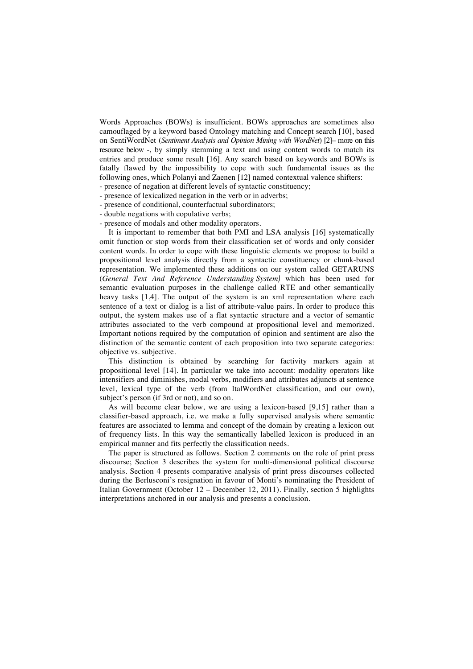Words Approaches (BOWs) is insufficient. BOWs approaches are sometimes also camouflaged by a keyword based Ontology matching and Concept search [10], based on SentiWordNet (*Sentiment Analysis and Opinion Mining with WordNet*) [2]– more on this resource below -, by simply stemming a text and using content words to match its entries and produce some result [16]. Any search based on keywords and BOWs is fatally flawed by the impossibility to cope with such fundamental issues as the following ones, which Polanyi and Zaenen [12] named contextual valence shifters: - presence of negation at different levels of syntactic constituency;

- presence of lexicalized negation in the verb or in adverbs;
- presence of conditional, counterfactual subordinators;
- double negations with copulative verbs;
- presence of modals and other modality operators.

It is important to remember that both PMI and LSA analysis [16] systematically omit function or stop words from their classification set of words and only consider content words. In order to cope with these linguistic elements we propose to build a propositional level analysis directly from a syntactic constituency or chunk-based representation. We implemented these additions on our system called GETARUNS (*General Text And Reference Understanding System)* which has been used for semantic evaluation purposes in the challenge called RTE and other semantically heavy tasks [1,4]. The output of the system is an xml representation where each sentence of a text or dialog is a list of attribute-value pairs. In order to produce this output, the system makes use of a flat syntactic structure and a vector of semantic attributes associated to the verb compound at propositional level and memorized. Important notions required by the computation of opinion and sentiment are also the distinction of the semantic content of each proposition into two separate categories: objective vs. subjective.

This distinction is obtained by searching for factivity markers again at propositional level [14]. In particular we take into account: modality operators like intensifiers and diminishes, modal verbs, modifiers and attributes adjuncts at sentence level, lexical type of the verb (from ItalWordNet classification, and our own), subject's person (if 3rd or not), and so on.

As will become clear below, we are using a lexicon-based [9,15] rather than a classifier-based approach, i.e. we make a fully supervised analysis where semantic features are associated to lemma and concept of the domain by creating a lexicon out of frequency lists. In this way the semantically labelled lexicon is produced in an empirical manner and fits perfectly the classification needs.

The paper is structured as follows. Section 2 comments on the role of print press discourse; Section 3 describes the system for multi-dimensional political discourse analysis. Section 4 presents comparative analysis of print press discourses collected during the Berlusconi's resignation in favour of Monti's nominating the President of Italian Government (October 12 – December 12, 2011). Finally, section 5 highlights interpretations anchored in our analysis and presents a conclusion.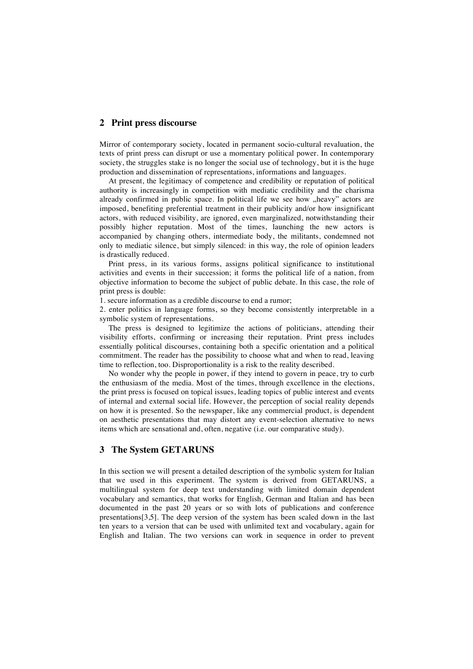#### **2 Print press discourse**

Mirror of contemporary society, located in permanent socio-cultural revaluation, the texts of print press can disrupt or use a momentary political power. In contemporary society, the struggles stake is no longer the social use of technology, but it is the huge production and dissemination of representations, informations and languages.

At present, the legitimacy of competence and credibility or reputation of political authority is increasingly in competition with mediatic credibility and the charisma already confirmed in public space. In political life we see how "heavy" actors are imposed, benefiting preferential treatment in their publicity and/or how insignificant actors, with reduced visibility, are ignored, even marginalized, notwithstanding their possibly higher reputation. Most of the times, launching the new actors is accompanied by changing others, intermediate body, the militants, condemned not only to mediatic silence, but simply silenced: in this way, the role of opinion leaders is drastically reduced.

Print press, in its various forms, assigns political significance to institutional activities and events in their succession; it forms the political life of a nation, from objective information to become the subject of public debate. In this case, the role of print press is double:

1. secure information as a credible discourse to end a rumor;

2. enter politics in language forms, so they become consistently interpretable in a symbolic system of representations.

The press is designed to legitimize the actions of politicians, attending their visibility efforts, confirming or increasing their reputation. Print press includes essentially political discourses, containing both a specific orientation and a political commitment. The reader has the possibility to choose what and when to read, leaving time to reflection, too. Disproportionality is a risk to the reality described.

No wonder why the people in power, if they intend to govern in peace, try to curb the enthusiasm of the media. Most of the times, through excellence in the elections, the print press is focused on topical issues, leading topics of public interest and events of internal and external social life. However, the perception of social reality depends on how it is presented. So the newspaper, like any commercial product, is dependent on aesthetic presentations that may distort any event-selection alternative to news items which are sensational and, often, negative (i.e. our comparative study).

### **3 The System GETARUNS**

In this section we will present a detailed description of the symbolic system for Italian that we used in this experiment. The system is derived from GETARUNS, a multilingual system for deep text understanding with limited domain dependent vocabulary and semantics, that works for English, German and Italian and has been documented in the past 20 years or so with lots of publications and conference presentations[3,5]. The deep version of the system has been scaled down in the last ten years to a version that can be used with unlimited text and vocabulary, again for English and Italian. The two versions can work in sequence in order to prevent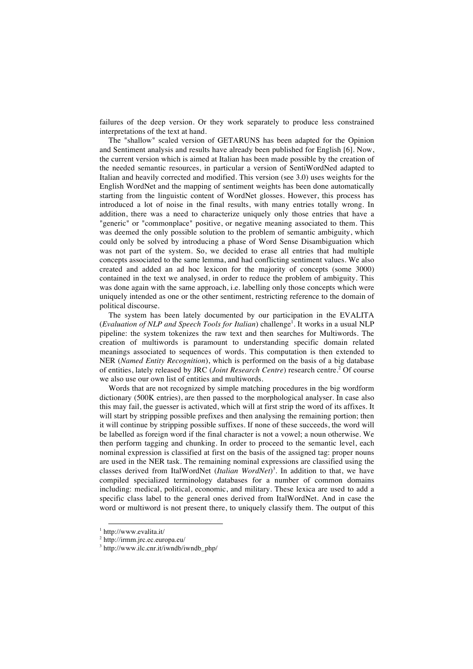failures of the deep version. Or they work separately to produce less constrained interpretations of the text at hand.

The "shallow" scaled version of GETARUNS has been adapted for the Opinion and Sentiment analysis and results have already been published for English [6]. Now, the current version which is aimed at Italian has been made possible by the creation of the needed semantic resources, in particular a version of SentiWordNed adapted to Italian and heavily corrected and modified. This version (see 3.0) uses weights for the English WordNet and the mapping of sentiment weights has been done automatically starting from the linguistic content of WordNet glosses. However, this process has introduced a lot of noise in the final results, with many entries totally wrong. In addition, there was a need to characterize uniquely only those entries that have a "generic" or "commonplace" positive, or negative meaning associated to them. This was deemed the only possible solution to the problem of semantic ambiguity, which could only be solved by introducing a phase of Word Sense Disambiguation which was not part of the system. So, we decided to erase all entries that had multiple concepts associated to the same lemma, and had conflicting sentiment values. We also created and added an ad hoc lexicon for the majority of concepts (some 3000) contained in the text we analysed, in order to reduce the problem of ambiguity. This was done again with the same approach, i.e. labelling only those concepts which were uniquely intended as one or the other sentiment, restricting reference to the domain of political discourse.

The system has been lately documented by our participation in the EVALITA (*Evaluation of NLP and Speech Tools for Italian*) challenge<sup>1</sup>. It works in a usual NLP pipeline: the system tokenizes the raw text and then searches for Multiwords. The creation of multiwords is paramount to understanding specific domain related meanings associated to sequences of words. This computation is then extended to NER (*Named Entity Recognition*), which is performed on the basis of a big database of entities, lately released by JRC (*Joint Research Centre*) research centre. <sup>2</sup> Of course we also use our own list of entities and multiwords.

Words that are not recognized by simple matching procedures in the big wordform dictionary (500K entries), are then passed to the morphological analyser. In case also this may fail, the guesser is activated, which will at first strip the word of its affixes. It will start by stripping possible prefixes and then analysing the remaining portion; then it will continue by stripping possible suffixes. If none of these succeeds, the word will be labelled as foreign word if the final character is not a vowel; a noun otherwise. We then perform tagging and chunking. In order to proceed to the semantic level, each nominal expression is classified at first on the basis of the assigned tag: proper nouns are used in the NER task. The remaining nominal expressions are classified using the classes derived from ItalWordNet (*Italian WordNet*) 3 . In addition to that, we have compiled specialized terminology databases for a number of common domains including: medical, political, economic, and military. These lexica are used to add a specific class label to the general ones derived from ItalWordNet. And in case the word or multiword is not present there, to uniquely classify them. The output of this

 <sup>1</sup> http://www.evalita.it/

<sup>2</sup> http://irmm.jrc.ec.europa.eu/

<sup>3</sup> http://www.ilc.cnr.it/iwndb/iwndb\_php/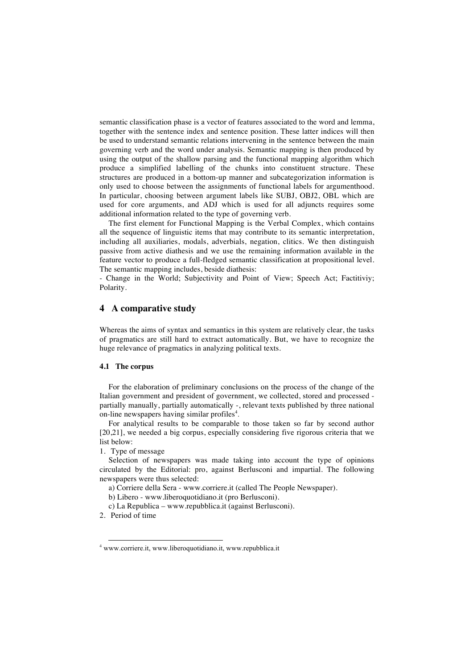semantic classification phase is a vector of features associated to the word and lemma, together with the sentence index and sentence position. These latter indices will then be used to understand semantic relations intervening in the sentence between the main governing verb and the word under analysis. Semantic mapping is then produced by using the output of the shallow parsing and the functional mapping algorithm which produce a simplified labelling of the chunks into constituent structure. These structures are produced in a bottom-up manner and subcategorization information is only used to choose between the assignments of functional labels for argumenthood. In particular, choosing between argument labels like SUBJ, OBJ2, OBL which are used for core arguments, and ADJ which is used for all adjuncts requires some additional information related to the type of governing verb.

The first element for Functional Mapping is the Verbal Complex, which contains all the sequence of linguistic items that may contribute to its semantic interpretation, including all auxiliaries, modals, adverbials, negation, clitics. We then distinguish passive from active diathesis and we use the remaining information available in the feature vector to produce a full-fledged semantic classification at propositional level. The semantic mapping includes, beside diathesis:

- Change in the World; Subjectivity and Point of View; Speech Act; Factitiviy; Polarity.

# **4 A comparative study**

Whereas the aims of syntax and semantics in this system are relatively clear, the tasks of pragmatics are still hard to extract automatically. But, we have to recognize the huge relevance of pragmatics in analyzing political texts.

#### **4.1 The corpus**

For the elaboration of preliminary conclusions on the process of the change of the Italian government and president of government, we collected, stored and processed partially manually, partially automatically -, relevant texts published by three national on-line newspapers having similar profiles<sup>4</sup>.

For analytical results to be comparable to those taken so far by second author [20,21], we needed a big corpus, especially considering five rigorous criteria that we list below:

1. Type of message

Selection of newspapers was made taking into account the type of opinions circulated by the Editorial: pro, against Berlusconi and impartial. The following newspapers were thus selected:

a) Corriere della Sera - www.corriere.it (called The People Newspaper).

b) Libero - www.liberoquotidiano.it (pro Berlusconi).

c) La Republica – www.repubblica.it (against Berlusconi).

2. Period of time

 <sup>4</sup> www.corriere.it, www.liberoquotidiano.it, www.repubblica.it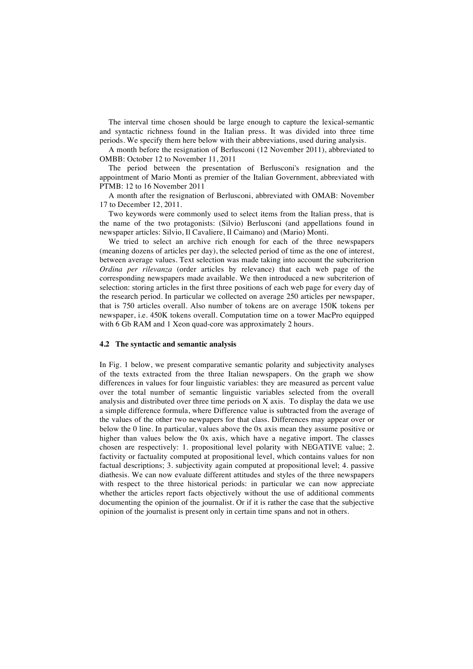The interval time chosen should be large enough to capture the lexical-semantic and syntactic richness found in the Italian press. It was divided into three time periods. We specify them here below with their abbreviations, used during analysis.

A month before the resignation of Berlusconi (12 November 2011), abbreviated to OMBB: October 12 to November 11, 2011

The period between the presentation of Berlusconi's resignation and the appointment of Mario Monti as premier of the Italian Government, abbreviated with PTMB: 12 to 16 November 2011

A month after the resignation of Berlusconi, abbreviated with OMAB: November 17 to December 12, 2011.

Two keywords were commonly used to select items from the Italian press, that is the name of the two protagonists: (Silvio) Berlusconi (and appellations found in newspaper articles: Silvio, Il Cavaliere, Il Caimano) and (Mario) Monti.

We tried to select an archive rich enough for each of the three newspapers (meaning dozens of articles per day), the selected period of time as the one of interest, between average values. Text selection was made taking into account the subcriterion *Ordina per rilevanza* (order articles by relevance) that each web page of the corresponding newspapers made available. We then introduced a new subcriterion of selection: storing articles in the first three positions of each web page for every day of the research period. In particular we collected on average 250 articles per newspaper, that is 750 articles overall. Also number of tokens are on average 150K tokens per newspaper, i.e. 450K tokens overall. Computation time on a tower MacPro equipped with 6 Gb RAM and 1 Xeon quad-core was approximately 2 hours.

#### **4.2 The syntactic and semantic analysis**

In Fig. 1 below, we present comparative semantic polarity and subjectivity analyses of the texts extracted from the three Italian newspapers. On the graph we show differences in values for four linguistic variables: they are measured as percent value over the total number of semantic linguistic variables selected from the overall analysis and distributed over three time periods on X axis. To display the data we use a simple difference formula, where Difference value is subtracted from the average of the values of the other two newpapers for that class. Differences may appear over or below the 0 line. In particular, values above the 0x axis mean they assume positive or higher than values below the 0x axis, which have a negative import. The classes chosen are respectively: 1. propositional level polarity with NEGATIVE value; 2. factivity or factuality computed at propositional level, which contains values for non factual descriptions; 3. subjectivity again computed at propositional level; 4. passive diathesis. We can now evaluate different attitudes and styles of the three newspapers with respect to the three historical periods: in particular we can now appreciate whether the articles report facts objectively without the use of additional comments documenting the opinion of the journalist. Or if it is rather the case that the subjective opinion of the journalist is present only in certain time spans and not in others.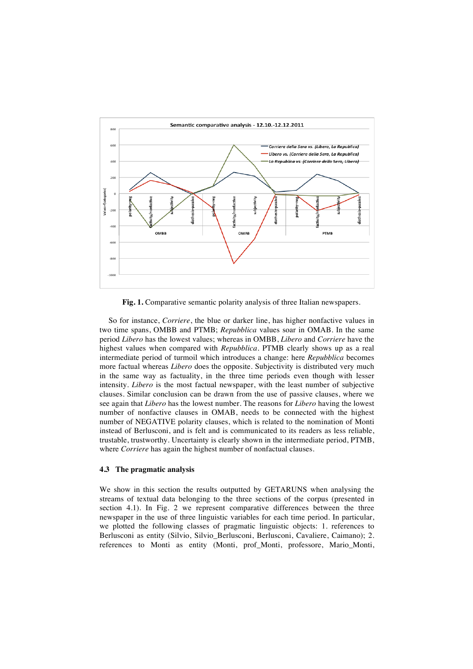

**Fig. 1.** Comparative semantic polarity analysis of three Italian newspapers.

So for instance, *Corriere*, the blue or darker line, has higher nonfactive values in two time spans, OMBB and PTMB; *Repubblica* values soar in OMAB. In the same period *Libero* has the lowest values; whereas in OMBB, *Libero* and *Corriere* have the highest values when compared with *Repubblica*. PTMB clearly shows up as a real intermediate period of turmoil which introduces a change: here *Repubblica* becomes more factual whereas *Libero* does the opposite. Subjectivity is distributed very much in the same way as factuality, in the three time periods even though with lesser intensity. *Libero* is the most factual newspaper, with the least number of subjective clauses. Similar conclusion can be drawn from the use of passive clauses, where we see again that *Libero* has the lowest number. The reasons for *Libero* having the lowest number of nonfactive clauses in OMAB, needs to be connected with the highest number of NEGATIVE polarity clauses, which is related to the nomination of Monti instead of Berlusconi, and is felt and is communicated to its readers as less reliable, trustable, trustworthy. Uncertainty is clearly shown in the intermediate period, PTMB, where *Corriere* has again the highest number of nonfactual clauses.

#### **4.3 The pragmatic analysis**

We show in this section the results outputted by GETARUNS when analysing the streams of textual data belonging to the three sections of the corpus (presented in section 4.1). In Fig. 2 we represent comparative differences between the three newspaper in the use of three linguistic variables for each time period. In particular, we plotted the following classes of pragmatic linguistic objects: 1. references to Berlusconi as entity (Silvio, Silvio\_Berlusconi, Berlusconi, Cavaliere, Caimano); 2. references to Monti as entity (Monti, prof\_Monti, professore, Mario\_Monti,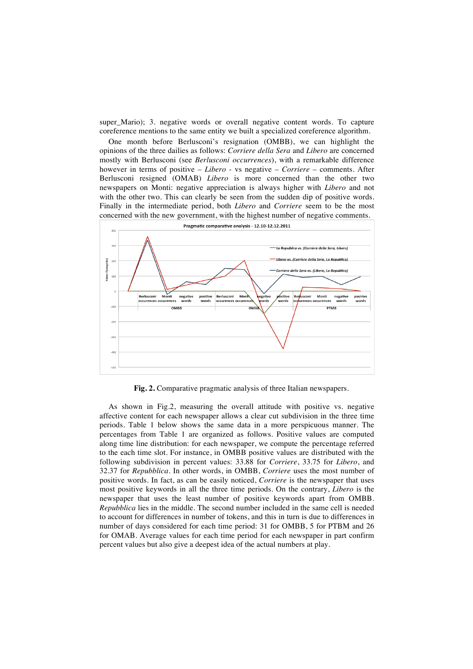super Mario); 3. negative words or overall negative content words. To capture coreference mentions to the same entity we built a specialized coreference algorithm.

One month before Berlusconi's resignation (OMBB), we can highlight the opinions of the three dailies as follows: *Corriere della Sera* and *Libero* are concerned mostly with Berlusconi (see *Berlusconi occurrences*), with a remarkable difference however in terms of positive – *Libero* - vs negative – *Corriere* – comments. After Berlusconi resigned (OMAB) *Libero* is more concerned than the other two newspapers on Monti: negative appreciation is always higher with *Libero* and not with the other two. This can clearly be seen from the sudden dip of positive words. Finally in the intermediate period, both *Libero* and *Corriere* seem to be the most concerned with the new government, with the highest number of negative comments.



**Fig. 2.** Comparative pragmatic analysis of three Italian newspapers.

As shown in Fig.2, measuring the overall attitude with positive vs. negative affective content for each newspaper allows a clear cut subdivision in the three time periods. Table 1 below shows the same data in a more perspicuous manner. The percentages from Table 1 are organized as follows. Positive values are computed along time line distribution: for each newspaper, we compute the percentage referred to the each time slot. For instance, in OMBB positive values are distributed with the following subdivision in percent values: 33.88 for *Corriere*, 33.75 for *Libero*, and 32.37 for *Repubblica*. In other words, in OMBB, *Corriere* uses the most number of positive words. In fact, as can be easily noticed, *Corriere* is the newspaper that uses most positive keywords in all the three time periods. On the contrary, *Libero* is the newspaper that uses the least number of positive keywords apart from OMBB. *Repubblica* lies in the middle. The second number included in the same cell is needed to account for differences in number of tokens, and this in turn is due to differences in number of days considered for each time period: 31 for OMBB, 5 for PTBM and 26 for OMAB. Average values for each time period for each newspaper in part confirm percent values but also give a deepest idea of the actual numbers at play.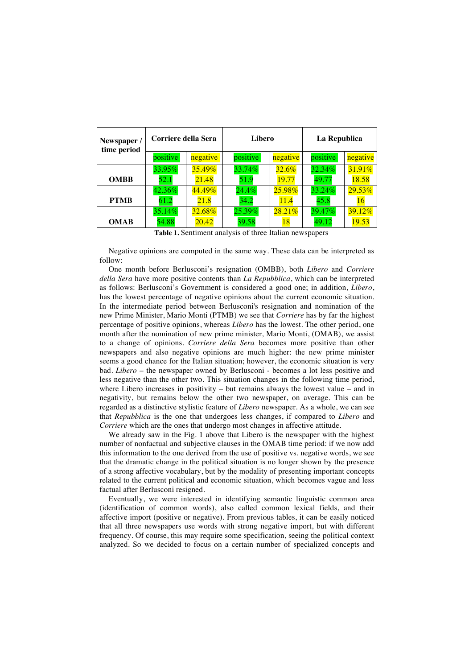| Newspaper /<br>time period | Corriere della Sera |           | Libero   |           | La Republica |           |
|----------------------------|---------------------|-----------|----------|-----------|--------------|-----------|
|                            | positive            | negative  | positive | negative  | positive     | negative  |
|                            | 33.95%              | $35.49\%$ | 33.74%   | $32.6\%$  | 32.34%       | 31.91%    |
| <b>OMBB</b>                | 52.1                | 21.48     | 51.9     | 19.77     | 49.77        | 18.58     |
|                            | 42.36%              | 44.49%    | 24.4%    | $25.98\%$ | 33.24%       | 29.53%    |
| <b>PTMB</b>                | 61.2                | 21.8      | 34.2     | 11.4      | 45.8         | 16        |
|                            | 35.14%              | $32.68\%$ | 25.39%   | 28.21%    | $39.47\%$    | $39.12\%$ |
| <b>OMAB</b>                | 54.88               | 20.42     | 39.58    | 18        | 49.12        | 19.53     |

**Table 1.** Sentiment analysis of three Italian newspapers

Negative opinions are computed in the same way. These data can be interpreted as follow:

One month before Berlusconi's resignation (OMBB), both *Libero* and *Corriere della Sera* have more positive contents than *La Repubblica*, which can be interpreted as follows: Berlusconi's Government is considered a good one; in addition, *Libero*, has the lowest percentage of negative opinions about the current economic situation. In the intermediate period between Berlusconi's resignation and nomination of the new Prime Minister, Mario Monti (PTMB) we see that *Corriere* has by far the highest percentage of positive opinions, whereas *Libero* has the lowest. The other period, one month after the nomination of new prime minister, Mario Monti, (OMAB), we assist to a change of opinions. *Corriere della Sera* becomes more positive than other newspapers and also negative opinions are much higher: the new prime minister seems a good chance for the Italian situation; however, the economic situation is very bad. *Libero* – the newspaper owned by Berlusconi - becomes a lot less positive and less negative than the other two. This situation changes in the following time period, where Libero increases in positivity – but remains always the lowest value – and in negativity, but remains below the other two newspaper, on average. This can be regarded as a distinctive stylistic feature of *Libero* newspaper. As a whole, we can see that *Repubblica* is the one that undergoes less changes, if compared to *Libero* and *Corriere* which are the ones that undergo most changes in affective attitude.

We already saw in the Fig. 1 above that Libero is the newspaper with the highest number of nonfactual and subjective clauses in the OMAB time period: if we now add this information to the one derived from the use of positive vs. negative words, we see that the dramatic change in the political situation is no longer shown by the presence of a strong affective vocabulary, but by the modality of presenting important concepts related to the current political and economic situation, which becomes vague and less factual after Berlusconi resigned.

Eventually, we were interested in identifying semantic linguistic common area (identification of common words), also called common lexical fields, and their affective import (positive or negative). From previous tables, it can be easily noticed that all three newspapers use words with strong negative import, but with different frequency. Of course, this may require some specification, seeing the political context analyzed. So we decided to focus on a certain number of specialized concepts and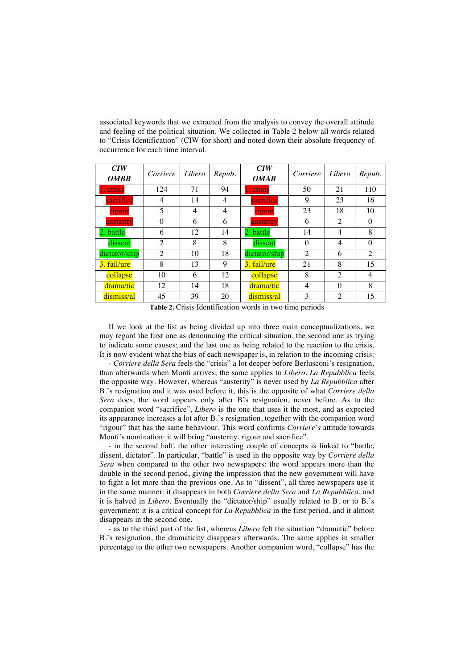associated keywords that we extracted from the analysis to convey the overall attitude and feeling of the political situation. We collected in Table 2 below all words related to "Crisis Identification" (CIW for short) and noted down their absolute frequency of occurrence for each time interval.

| C I W<br><b>OMBB</b> | Corriere       | Libero | Repub. | C I W<br><b>OMAB</b> | Corriere       | Libero         | Repub.         |
|----------------------|----------------|--------|--------|----------------------|----------------|----------------|----------------|
| . crisis             | 124            | 71     | 94     | 1. crisis            | 50             | 21             | 110            |
| sacrifice            | 4              | 14     | 4      | sacrifice            | 9              | 23             | 16             |
| rigour               | 5              | 4      | 4      | rigour               | 23             | 18             | 10             |
| austerity            | $\Omega$       | 6      | 6      | austerity            | 6              | 2              | $\Omega$       |
| 2. battle            | 6              | 12     | 14     | 2. battle            | 14             | 4              | 8              |
| dissent              | $\mathfrak{D}$ | 8      | 8      | dissent              | $\Omega$       | 4              | $\Omega$       |
| dictator/ship        | $\mathfrak{D}$ | 10     | 18     | dictator/ship        | $\mathfrak{D}$ | 6              | $\mathfrak{D}$ |
| 3. fail/ure          | 8              | 13     | 9      | 3. fail/ure          | 21             | 8              | 15             |
| collapse             | 10             | 6      | 12     | collapse             | 8              | $\overline{2}$ | 4              |
| drama/tic            | 12             | 14     | 18     | drama/tic            | 4              | $\Omega$       | 8              |
| dismiss/al           | 45             | 39     | 20     | dismiss/al           | 3              | $\mathfrak{D}$ | 15             |

**Table 2.** Crisis Identification words in two time periods

If we look at the list as being divided up into three main conceptualizations, we may regard the first one as denouncing the critical situation, the second one as trying to indicate some causes; and the last one as being related to the reaction to the crisis. It is now evident what the bias of each newspaper is, in relation to the incoming crisis:

- *Corriere della Sera* feels the "crisis" a lot deeper before Berlusconi's resignation, than afterwards when Monti arrives; the same applies to *Libero*. *La Repubblica* feels the opposite way. However, whereas "austerity" is never used by *La Repubblica* after B.'s resignation and it was used before it, this is the opposite of what *Corriere della Sera* does, the word appears only after B's resignation, never before. As to the companion word "sacrifice", *Libero* is the one that uses it the most, and as expected its appearance increases a lot after B.'s resignation, together with the companion word "rigour" that has the same behaviour. This word confirms *Corriere's* attitude towards Monti's nomination: it will bring "austerity, rigour and sacrifice".

- in the second half, the other interesting couple of concepts is linked to "battle, dissent, dictator". In particular, "battle" is used in the opposite way by *Corriere della Sera* when compared to the other two newspapers: the word appears more than the double in the second period, giving the impression that the new government will have to fight a lot more than the previous one. As to "dissent", all three newspapers use it in the same manner: it disappears in both *Corriere della Sera* and *La Repubblica*, and it is halved in *Libero*. Eventually the "dictator/ship" usually related to B. or to B.'s government: it is a critical concept for *La Repubblica* in the first period, and it almost disappears in the second one.

- as to the third part of the list, whereas *Libero* felt the situation "dramatic" before B.'s resignation, the dramaticity disappears afterwards. The same applies in smaller percentage to the other two newspapers. Another companion word, "collapse" has the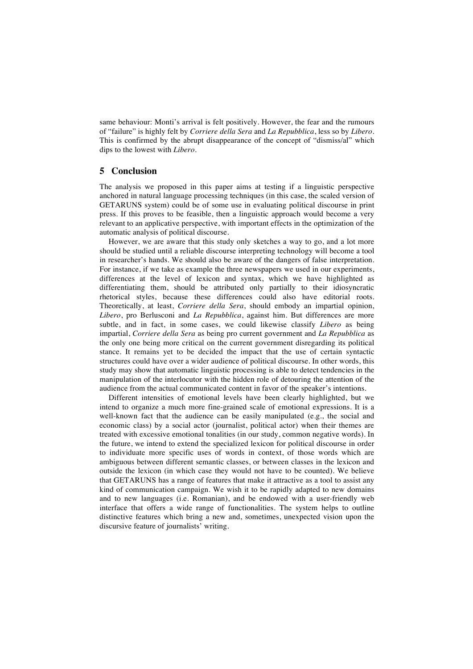same behaviour: Monti's arrival is felt positively. However, the fear and the rumours of "failure" is highly felt by *Corriere della Sera* and *La Repubblica*, less so by *Libero*. This is confirmed by the abrupt disappearance of the concept of "dismiss/al" which dips to the lowest with *Libero*.

### **5 Conclusion**

The analysis we proposed in this paper aims at testing if a linguistic perspective anchored in natural language processing techniques (in this case, the scaled version of GETARUNS system) could be of some use in evaluating political discourse in print press. If this proves to be feasible, then a linguistic approach would become a very relevant to an applicative perspective, with important effects in the optimization of the automatic analysis of political discourse.

However, we are aware that this study only sketches a way to go, and a lot more should be studied until a reliable discourse interpreting technology will become a tool in researcher's hands. We should also be aware of the dangers of false interpretation. For instance, if we take as example the three newspapers we used in our experiments, differences at the level of lexicon and syntax, which we have highlighted as differentiating them, should be attributed only partially to their idiosyncratic rhetorical styles, because these differences could also have editorial roots. Theoretically, at least, *Corriere della Sera*, should embody an impartial opinion, *Libero*, pro Berlusconi and *La Repubblica*, against him. But differences are more subtle, and in fact, in some cases, we could likewise classify *Libero* as being impartial, *Corriere della Sera* as being pro current government and *La Repubblica* as the only one being more critical on the current government disregarding its political stance. It remains yet to be decided the impact that the use of certain syntactic structures could have over a wider audience of political discourse. In other words, this study may show that automatic linguistic processing is able to detect tendencies in the manipulation of the interlocutor with the hidden role of detouring the attention of the audience from the actual communicated content in favor of the speaker's intentions.

Different intensities of emotional levels have been clearly highlighted, but we intend to organize a much more fine-grained scale of emotional expressions. It is a well-known fact that the audience can be easily manipulated (e.g., the social and economic class) by a social actor (journalist, political actor) when their themes are treated with excessive emotional tonalities (in our study, common negative words). In the future, we intend to extend the specialized lexicon for political discourse in order to individuate more specific uses of words in context, of those words which are ambiguous between different semantic classes, or between classes in the lexicon and outside the lexicon (in which case they would not have to be counted). We believe that GETARUNS has a range of features that make it attractive as a tool to assist any kind of communication campaign. We wish it to be rapidly adapted to new domains and to new languages (i.e. Romanian), and be endowed with a user-friendly web interface that offers a wide range of functionalities. The system helps to outline distinctive features which bring a new and, sometimes, unexpected vision upon the discursive feature of journalists' writing.